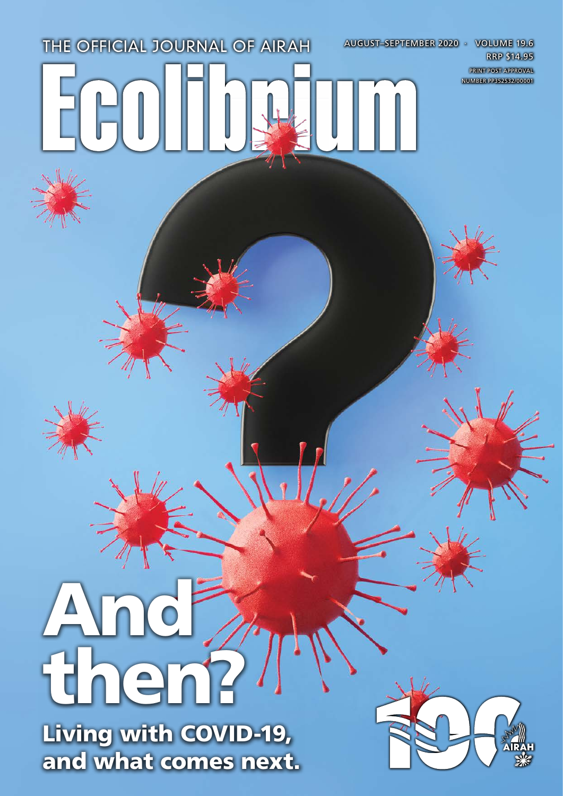# THE OFFICIAL JOURNAL OF AIRAH AUGUST–SEPTEMBER 2020 · VOLUME 19.6

And then?

Living with COVID-19, and what comes next.



RRP \$14.95 PRINT POST APPROVAL NUMBER PP352532/00001